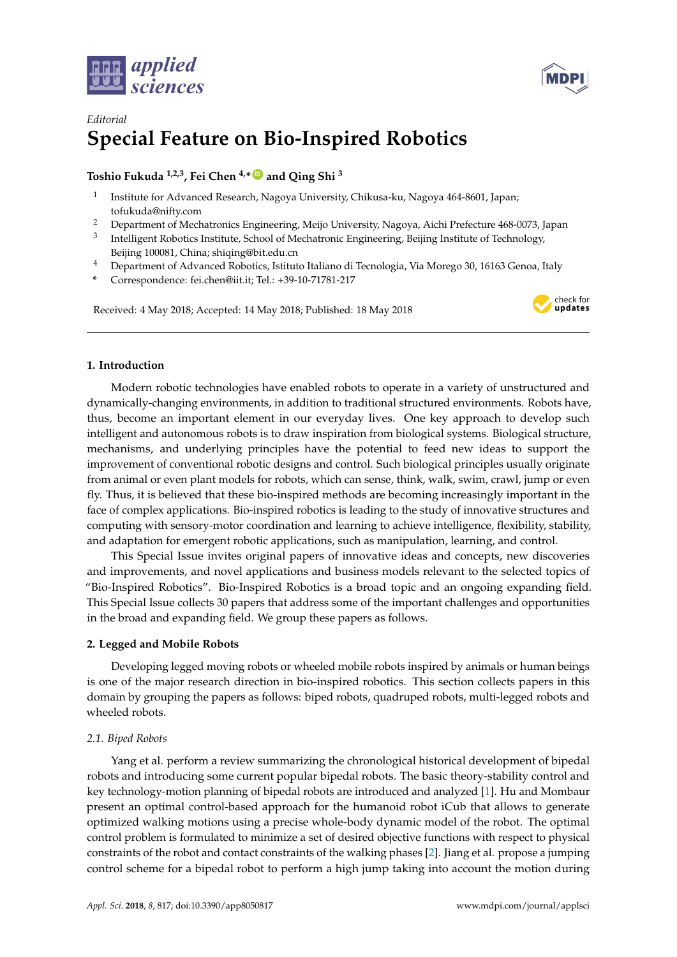



# *Editorial* **Special Feature on Bio-Inspired Robotics**

# **Toshio Fukuda 1,2,3, Fei Chen 4,\* [ID](https://orcid.org/0000-0003-4397-0931) and Qing Shi <sup>3</sup>**

- 1 Institute for Advanced Research, Nagoya University, Chikusa-ku, Nagoya 464-8601, Japan; tofukuda@nifty.com
- <sup>2</sup> Department of Mechatronics Engineering, Meijo University, Nagoya, Aichi Prefecture 468-0073, Japan
- 3 Intelligent Robotics Institute, School of Mechatronic Engineering, Beijing Institute of Technology, Beijing 100081, China; shiqing@bit.edu.cn
- <sup>4</sup> Department of Advanced Robotics, Istituto Italiano di Tecnologia, Via Morego 30, 16163 Genoa, Italy
- **\*** Correspondence: fei.chen@iit.it; Tel.: +39-10-71781-217

Received: 4 May 2018; Accepted: 14 May 2018; Published: 18 May 2018



# **1. Introduction**

Modern robotic technologies have enabled robots to operate in a variety of unstructured and dynamically-changing environments, in addition to traditional structured environments. Robots have, thus, become an important element in our everyday lives. One key approach to develop such intelligent and autonomous robots is to draw inspiration from biological systems. Biological structure, mechanisms, and underlying principles have the potential to feed new ideas to support the improvement of conventional robotic designs and control. Such biological principles usually originate from animal or even plant models for robots, which can sense, think, walk, swim, crawl, jump or even fly. Thus, it is believed that these bio-inspired methods are becoming increasingly important in the face of complex applications. Bio-inspired robotics is leading to the study of innovative structures and computing with sensory-motor coordination and learning to achieve intelligence, flexibility, stability, and adaptation for emergent robotic applications, such as manipulation, learning, and control.

This Special Issue invites original papers of innovative ideas and concepts, new discoveries and improvements, and novel applications and business models relevant to the selected topics of "Bio-Inspired Robotics". Bio-Inspired Robotics is a broad topic and an ongoing expanding field. This Special Issue collects 30 papers that address some of the important challenges and opportunities in the broad and expanding field. We group these papers as follows.

# **2. Legged and Mobile Robots**

Developing legged moving robots or wheeled mobile robots inspired by animals or human beings is one of the major research direction in bio-inspired robotics. This section collects papers in this domain by grouping the papers as follows: biped robots, quadruped robots, multi-legged robots and wheeled robots.

# *2.1. Biped Robots*

Yang et al. perform a review summarizing the chronological historical development of bipedal robots and introducing some current popular bipedal robots. The basic theory-stability control and key technology-motion planning of bipedal robots are introduced and analyzed [\[1\]](#page-5-0). Hu and Mombaur present an optimal control-based approach for the humanoid robot iCub that allows to generate optimized walking motions using a precise whole-body dynamic model of the robot. The optimal control problem is formulated to minimize a set of desired objective functions with respect to physical constraints of the robot and contact constraints of the walking phases [\[2\]](#page-5-1). Jiang et al. propose a jumping control scheme for a bipedal robot to perform a high jump taking into account the motion during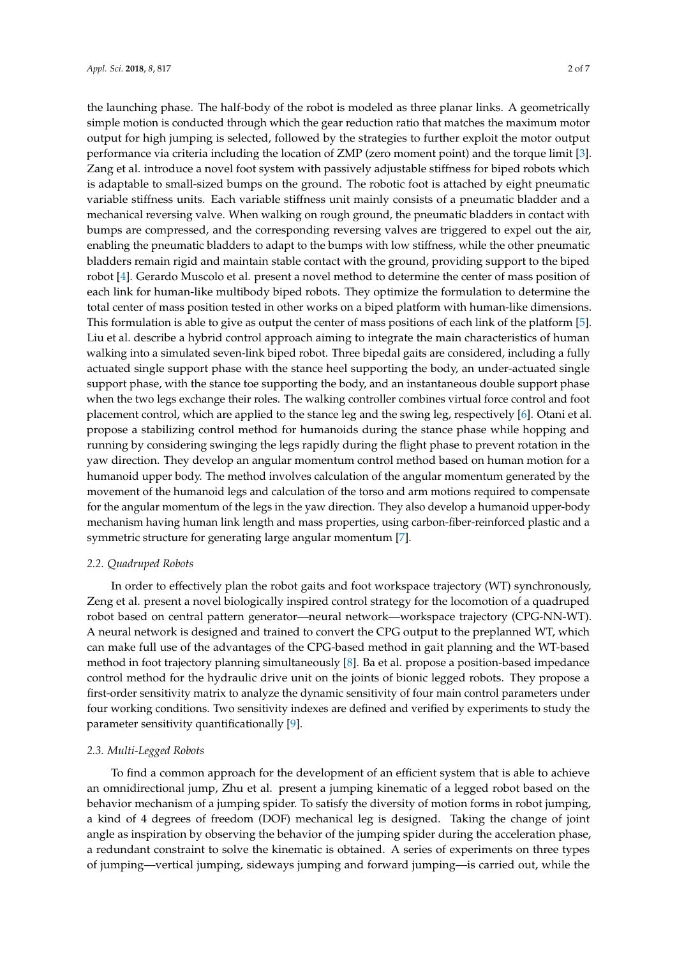the launching phase. The half-body of the robot is modeled as three planar links. A geometrically simple motion is conducted through which the gear reduction ratio that matches the maximum motor output for high jumping is selected, followed by the strategies to further exploit the motor output performance via criteria including the location of ZMP (zero moment point) and the torque limit [\[3\]](#page-5-2). Zang et al. introduce a novel foot system with passively adjustable stiffness for biped robots which is adaptable to small-sized bumps on the ground. The robotic foot is attached by eight pneumatic variable stiffness units. Each variable stiffness unit mainly consists of a pneumatic bladder and a mechanical reversing valve. When walking on rough ground, the pneumatic bladders in contact with bumps are compressed, and the corresponding reversing valves are triggered to expel out the air, enabling the pneumatic bladders to adapt to the bumps with low stiffness, while the other pneumatic bladders remain rigid and maintain stable contact with the ground, providing support to the biped robot [\[4\]](#page-5-3). Gerardo Muscolo et al. present a novel method to determine the center of mass position of each link for human-like multibody biped robots. They optimize the formulation to determine the total center of mass position tested in other works on a biped platform with human-like dimensions. This formulation is able to give as output the center of mass positions of each link of the platform [\[5\]](#page-5-4). Liu et al. describe a hybrid control approach aiming to integrate the main characteristics of human walking into a simulated seven-link biped robot. Three bipedal gaits are considered, including a fully actuated single support phase with the stance heel supporting the body, an under-actuated single support phase, with the stance toe supporting the body, and an instantaneous double support phase when the two legs exchange their roles. The walking controller combines virtual force control and foot placement control, which are applied to the stance leg and the swing leg, respectively [\[6\]](#page-5-5). Otani et al. propose a stabilizing control method for humanoids during the stance phase while hopping and running by considering swinging the legs rapidly during the flight phase to prevent rotation in the yaw direction. They develop an angular momentum control method based on human motion for a humanoid upper body. The method involves calculation of the angular momentum generated by the movement of the humanoid legs and calculation of the torso and arm motions required to compensate for the angular momentum of the legs in the yaw direction. They also develop a humanoid upper-body mechanism having human link length and mass properties, using carbon-fiber-reinforced plastic and a symmetric structure for generating large angular momentum [\[7\]](#page-5-6).

#### *2.2. Quadruped Robots*

In order to effectively plan the robot gaits and foot workspace trajectory (WT) synchronously, Zeng et al. present a novel biologically inspired control strategy for the locomotion of a quadruped robot based on central pattern generator—neural network—workspace trajectory (CPG-NN-WT). A neural network is designed and trained to convert the CPG output to the preplanned WT, which can make full use of the advantages of the CPG-based method in gait planning and the WT-based method in foot trajectory planning simultaneously [\[8\]](#page-5-7). Ba et al. propose a position-based impedance control method for the hydraulic drive unit on the joints of bionic legged robots. They propose a first-order sensitivity matrix to analyze the dynamic sensitivity of four main control parameters under four working conditions. Two sensitivity indexes are defined and verified by experiments to study the parameter sensitivity quantificationally [\[9\]](#page-5-8).

#### *2.3. Multi-Legged Robots*

To find a common approach for the development of an efficient system that is able to achieve an omnidirectional jump, Zhu et al. present a jumping kinematic of a legged robot based on the behavior mechanism of a jumping spider. To satisfy the diversity of motion forms in robot jumping, a kind of 4 degrees of freedom (DOF) mechanical leg is designed. Taking the change of joint angle as inspiration by observing the behavior of the jumping spider during the acceleration phase, a redundant constraint to solve the kinematic is obtained. A series of experiments on three types of jumping—vertical jumping, sideways jumping and forward jumping—is carried out, while the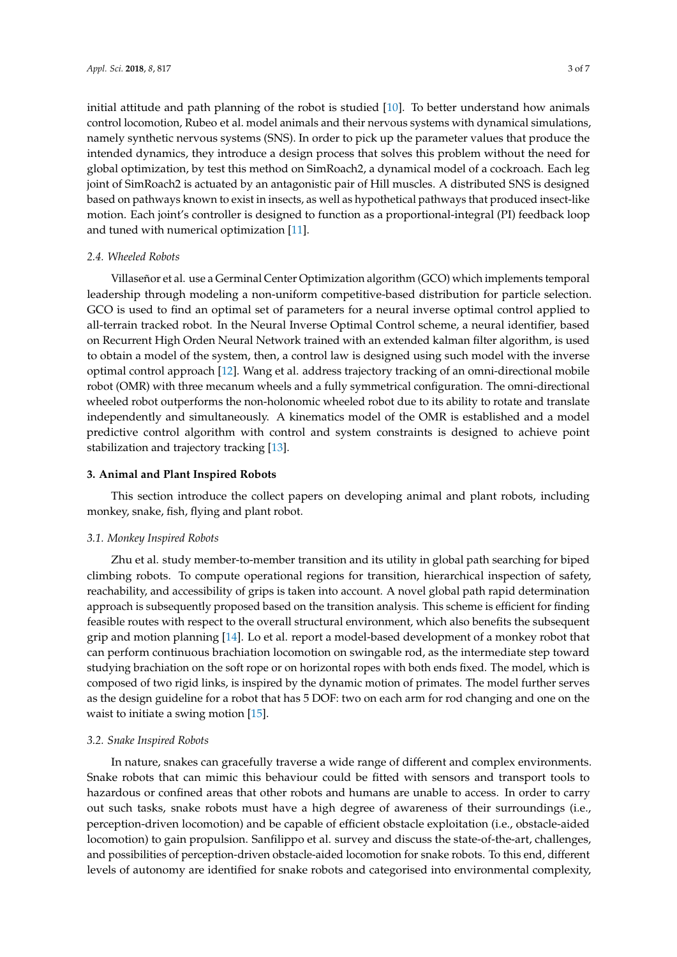initial attitude and path planning of the robot is studied [\[10\]](#page-5-9). To better understand how animals control locomotion, Rubeo et al. model animals and their nervous systems with dynamical simulations, namely synthetic nervous systems (SNS). In order to pick up the parameter values that produce the intended dynamics, they introduce a design process that solves this problem without the need for global optimization, by test this method on SimRoach2, a dynamical model of a cockroach. Each leg joint of SimRoach2 is actuated by an antagonistic pair of Hill muscles. A distributed SNS is designed based on pathways known to exist in insects, as well as hypothetical pathways that produced insect-like motion. Each joint's controller is designed to function as a proportional-integral (PI) feedback loop and tuned with numerical optimization [\[11\]](#page-5-10).

#### *2.4. Wheeled Robots*

Villaseñor et al. use a Germinal Center Optimization algorithm (GCO) which implements temporal leadership through modeling a non-uniform competitive-based distribution for particle selection. GCO is used to find an optimal set of parameters for a neural inverse optimal control applied to all-terrain tracked robot. In the Neural Inverse Optimal Control scheme, a neural identifier, based on Recurrent High Orden Neural Network trained with an extended kalman filter algorithm, is used to obtain a model of the system, then, a control law is designed using such model with the inverse optimal control approach [\[12\]](#page-6-0). Wang et al. address trajectory tracking of an omni-directional mobile robot (OMR) with three mecanum wheels and a fully symmetrical configuration. The omni-directional wheeled robot outperforms the non-holonomic wheeled robot due to its ability to rotate and translate independently and simultaneously. A kinematics model of the OMR is established and a model predictive control algorithm with control and system constraints is designed to achieve point stabilization and trajectory tracking [\[13\]](#page-6-1).

#### **3. Animal and Plant Inspired Robots**

This section introduce the collect papers on developing animal and plant robots, including monkey, snake, fish, flying and plant robot.

#### *3.1. Monkey Inspired Robots*

Zhu et al. study member-to-member transition and its utility in global path searching for biped climbing robots. To compute operational regions for transition, hierarchical inspection of safety, reachability, and accessibility of grips is taken into account. A novel global path rapid determination approach is subsequently proposed based on the transition analysis. This scheme is efficient for finding feasible routes with respect to the overall structural environment, which also benefits the subsequent grip and motion planning [\[14\]](#page-6-2). Lo et al. report a model-based development of a monkey robot that can perform continuous brachiation locomotion on swingable rod, as the intermediate step toward studying brachiation on the soft rope or on horizontal ropes with both ends fixed. The model, which is composed of two rigid links, is inspired by the dynamic motion of primates. The model further serves as the design guideline for a robot that has 5 DOF: two on each arm for rod changing and one on the waist to initiate a swing motion [\[15\]](#page-6-3).

#### *3.2. Snake Inspired Robots*

In nature, snakes can gracefully traverse a wide range of different and complex environments. Snake robots that can mimic this behaviour could be fitted with sensors and transport tools to hazardous or confined areas that other robots and humans are unable to access. In order to carry out such tasks, snake robots must have a high degree of awareness of their surroundings (i.e., perception-driven locomotion) and be capable of efficient obstacle exploitation (i.e., obstacle-aided locomotion) to gain propulsion. Sanfilippo et al. survey and discuss the state-of-the-art, challenges, and possibilities of perception-driven obstacle-aided locomotion for snake robots. To this end, different levels of autonomy are identified for snake robots and categorised into environmental complexity,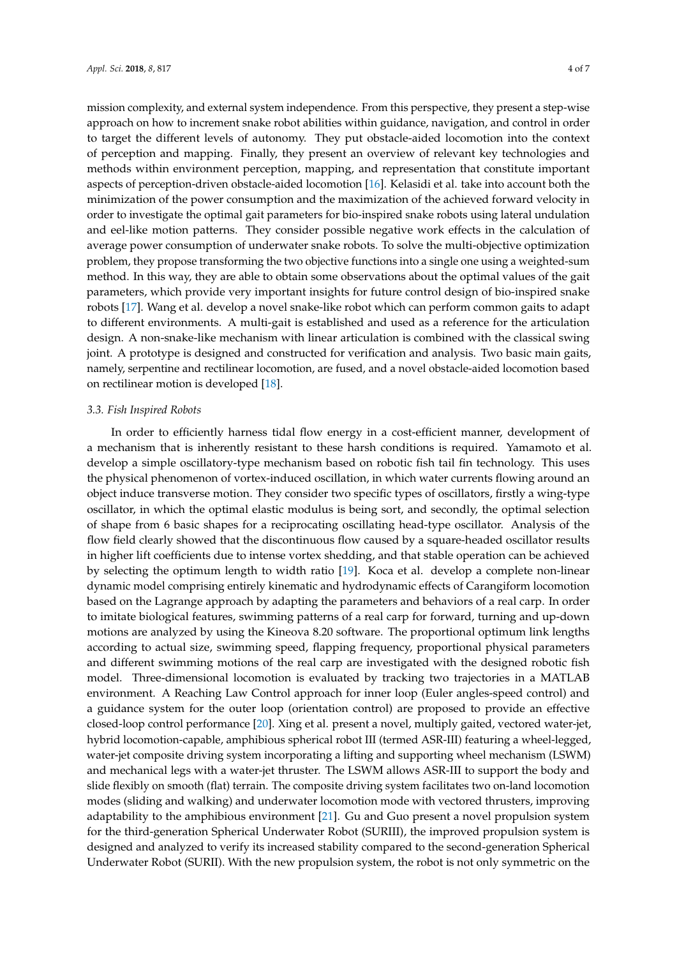mission complexity, and external system independence. From this perspective, they present a step-wise approach on how to increment snake robot abilities within guidance, navigation, and control in order to target the different levels of autonomy. They put obstacle-aided locomotion into the context of perception and mapping. Finally, they present an overview of relevant key technologies and methods within environment perception, mapping, and representation that constitute important aspects of perception-driven obstacle-aided locomotion [\[16\]](#page-6-4). Kelasidi et al. take into account both the minimization of the power consumption and the maximization of the achieved forward velocity in order to investigate the optimal gait parameters for bio-inspired snake robots using lateral undulation and eel-like motion patterns. They consider possible negative work effects in the calculation of average power consumption of underwater snake robots. To solve the multi-objective optimization problem, they propose transforming the two objective functions into a single one using a weighted-sum method. In this way, they are able to obtain some observations about the optimal values of the gait parameters, which provide very important insights for future control design of bio-inspired snake robots [\[17\]](#page-6-5). Wang et al. develop a novel snake-like robot which can perform common gaits to adapt to different environments. A multi-gait is established and used as a reference for the articulation design. A non-snake-like mechanism with linear articulation is combined with the classical swing joint. A prototype is designed and constructed for verification and analysis. Two basic main gaits, namely, serpentine and rectilinear locomotion, are fused, and a novel obstacle-aided locomotion based on rectilinear motion is developed [\[18\]](#page-6-6).

#### *3.3. Fish Inspired Robots*

In order to efficiently harness tidal flow energy in a cost-efficient manner, development of a mechanism that is inherently resistant to these harsh conditions is required. Yamamoto et al. develop a simple oscillatory-type mechanism based on robotic fish tail fin technology. This uses the physical phenomenon of vortex-induced oscillation, in which water currents flowing around an object induce transverse motion. They consider two specific types of oscillators, firstly a wing-type oscillator, in which the optimal elastic modulus is being sort, and secondly, the optimal selection of shape from 6 basic shapes for a reciprocating oscillating head-type oscillator. Analysis of the flow field clearly showed that the discontinuous flow caused by a square-headed oscillator results in higher lift coefficients due to intense vortex shedding, and that stable operation can be achieved by selecting the optimum length to width ratio [\[19\]](#page-6-7). Koca et al. develop a complete non-linear dynamic model comprising entirely kinematic and hydrodynamic effects of Carangiform locomotion based on the Lagrange approach by adapting the parameters and behaviors of a real carp. In order to imitate biological features, swimming patterns of a real carp for forward, turning and up-down motions are analyzed by using the Kineova 8.20 software. The proportional optimum link lengths according to actual size, swimming speed, flapping frequency, proportional physical parameters and different swimming motions of the real carp are investigated with the designed robotic fish model. Three-dimensional locomotion is evaluated by tracking two trajectories in a MATLAB environment. A Reaching Law Control approach for inner loop (Euler angles-speed control) and a guidance system for the outer loop (orientation control) are proposed to provide an effective closed-loop control performance [\[20\]](#page-6-8). Xing et al. present a novel, multiply gaited, vectored water-jet, hybrid locomotion-capable, amphibious spherical robot III (termed ASR-III) featuring a wheel-legged, water-jet composite driving system incorporating a lifting and supporting wheel mechanism (LSWM) and mechanical legs with a water-jet thruster. The LSWM allows ASR-III to support the body and slide flexibly on smooth (flat) terrain. The composite driving system facilitates two on-land locomotion modes (sliding and walking) and underwater locomotion mode with vectored thrusters, improving adaptability to the amphibious environment [\[21\]](#page-6-9). Gu and Guo present a novel propulsion system for the third-generation Spherical Underwater Robot (SURIII), the improved propulsion system is designed and analyzed to verify its increased stability compared to the second-generation Spherical Underwater Robot (SURII). With the new propulsion system, the robot is not only symmetric on the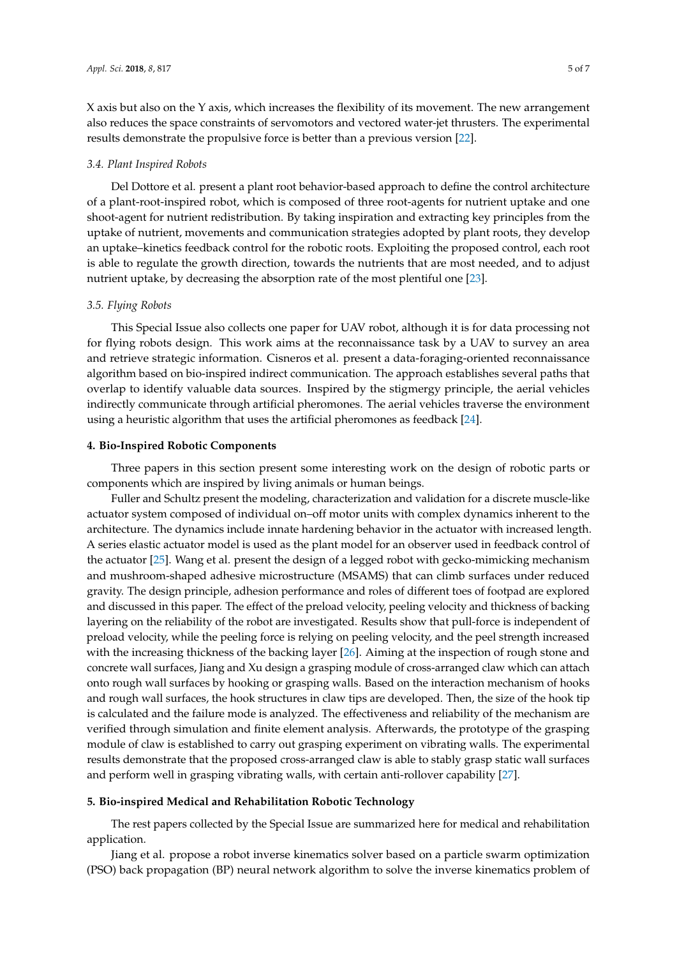X axis but also on the Y axis, which increases the flexibility of its movement. The new arrangement also reduces the space constraints of servomotors and vectored water-jet thrusters. The experimental results demonstrate the propulsive force is better than a previous version [\[22\]](#page-6-10).

#### *3.4. Plant Inspired Robots*

Del Dottore et al. present a plant root behavior-based approach to define the control architecture of a plant-root-inspired robot, which is composed of three root-agents for nutrient uptake and one shoot-agent for nutrient redistribution. By taking inspiration and extracting key principles from the uptake of nutrient, movements and communication strategies adopted by plant roots, they develop an uptake–kinetics feedback control for the robotic roots. Exploiting the proposed control, each root is able to regulate the growth direction, towards the nutrients that are most needed, and to adjust nutrient uptake, by decreasing the absorption rate of the most plentiful one [\[23\]](#page-6-11).

#### *3.5. Flying Robots*

This Special Issue also collects one paper for UAV robot, although it is for data processing not for flying robots design. This work aims at the reconnaissance task by a UAV to survey an area and retrieve strategic information. Cisneros et al. present a data-foraging-oriented reconnaissance algorithm based on bio-inspired indirect communication. The approach establishes several paths that overlap to identify valuable data sources. Inspired by the stigmergy principle, the aerial vehicles indirectly communicate through artificial pheromones. The aerial vehicles traverse the environment using a heuristic algorithm that uses the artificial pheromones as feedback [\[24\]](#page-6-12).

#### **4. Bio-Inspired Robotic Components**

Three papers in this section present some interesting work on the design of robotic parts or components which are inspired by living animals or human beings.

Fuller and Schultz present the modeling, characterization and validation for a discrete muscle-like actuator system composed of individual on–off motor units with complex dynamics inherent to the architecture. The dynamics include innate hardening behavior in the actuator with increased length. A series elastic actuator model is used as the plant model for an observer used in feedback control of the actuator [\[25\]](#page-6-13). Wang et al. present the design of a legged robot with gecko-mimicking mechanism and mushroom-shaped adhesive microstructure (MSAMS) that can climb surfaces under reduced gravity. The design principle, adhesion performance and roles of different toes of footpad are explored and discussed in this paper. The effect of the preload velocity, peeling velocity and thickness of backing layering on the reliability of the robot are investigated. Results show that pull-force is independent of preload velocity, while the peeling force is relying on peeling velocity, and the peel strength increased with the increasing thickness of the backing layer [\[26\]](#page-6-14). Aiming at the inspection of rough stone and concrete wall surfaces, Jiang and Xu design a grasping module of cross-arranged claw which can attach onto rough wall surfaces by hooking or grasping walls. Based on the interaction mechanism of hooks and rough wall surfaces, the hook structures in claw tips are developed. Then, the size of the hook tip is calculated and the failure mode is analyzed. The effectiveness and reliability of the mechanism are verified through simulation and finite element analysis. Afterwards, the prototype of the grasping module of claw is established to carry out grasping experiment on vibrating walls. The experimental results demonstrate that the proposed cross-arranged claw is able to stably grasp static wall surfaces and perform well in grasping vibrating walls, with certain anti-rollover capability [\[27\]](#page-6-15).

#### **5. Bio-inspired Medical and Rehabilitation Robotic Technology**

The rest papers collected by the Special Issue are summarized here for medical and rehabilitation application.

Jiang et al. propose a robot inverse kinematics solver based on a particle swarm optimization (PSO) back propagation (BP) neural network algorithm to solve the inverse kinematics problem of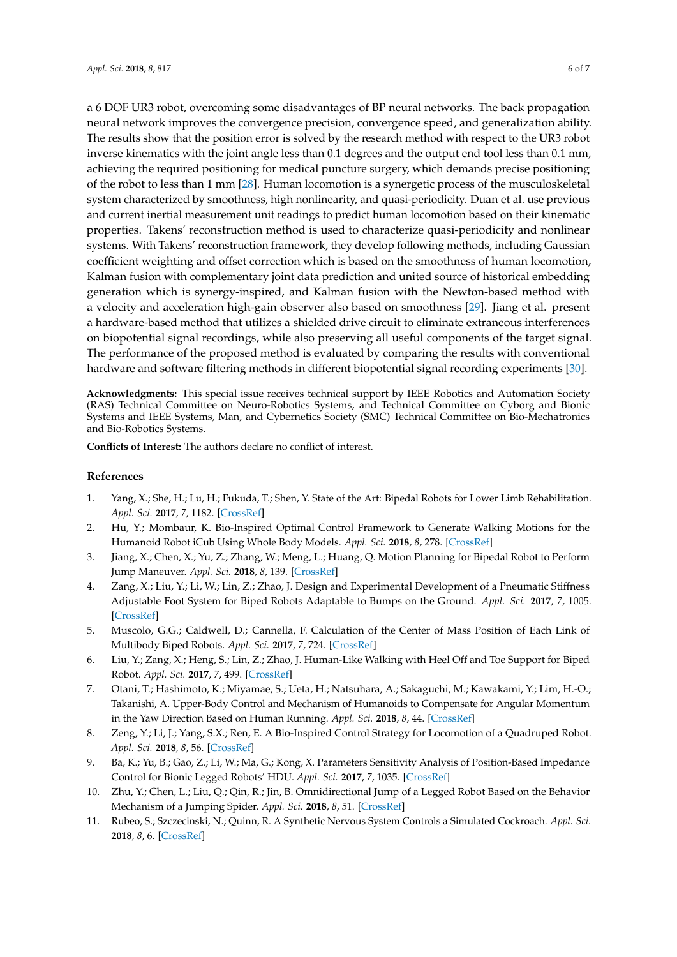a 6 DOF UR3 robot, overcoming some disadvantages of BP neural networks. The back propagation neural network improves the convergence precision, convergence speed, and generalization ability. The results show that the position error is solved by the research method with respect to the UR3 robot inverse kinematics with the joint angle less than 0.1 degrees and the output end tool less than 0.1 mm, achieving the required positioning for medical puncture surgery, which demands precise positioning of the robot to less than 1 mm [\[28\]](#page-6-16). Human locomotion is a synergetic process of the musculoskeletal system characterized by smoothness, high nonlinearity, and quasi-periodicity. Duan et al. use previous and current inertial measurement unit readings to predict human locomotion based on their kinematic properties. Takens' reconstruction method is used to characterize quasi-periodicity and nonlinear systems. With Takens' reconstruction framework, they develop following methods, including Gaussian coefficient weighting and offset correction which is based on the smoothness of human locomotion, Kalman fusion with complementary joint data prediction and united source of historical embedding generation which is synergy-inspired, and Kalman fusion with the Newton-based method with a velocity and acceleration high-gain observer also based on smoothness [\[29\]](#page-6-17). Jiang et al. present a hardware-based method that utilizes a shielded drive circuit to eliminate extraneous interferences on biopotential signal recordings, while also preserving all useful components of the target signal. The performance of the proposed method is evaluated by comparing the results with conventional hardware and software filtering methods in different biopotential signal recording experiments [\[30\]](#page-6-18).

**Acknowledgments:** This special issue receives technical support by IEEE Robotics and Automation Society (RAS) Technical Committee on Neuro-Robotics Systems, and Technical Committee on Cyborg and Bionic Systems and IEEE Systems, Man, and Cybernetics Society (SMC) Technical Committee on Bio-Mechatronics and Bio-Robotics Systems.

**Conflicts of Interest:** The authors declare no conflict of interest.

# **References**

- <span id="page-5-0"></span>1. Yang, X.; She, H.; Lu, H.; Fukuda, T.; Shen, Y. State of the Art: Bipedal Robots for Lower Limb Rehabilitation. *Appl. Sci.* **2017**, *7*, 1182. [\[CrossRef\]](http://dx.doi.org/10.3390/app7111182)
- <span id="page-5-1"></span>2. Hu, Y.; Mombaur, K. Bio-Inspired Optimal Control Framework to Generate Walking Motions for the Humanoid Robot iCub Using Whole Body Models. *Appl. Sci.* **2018**, *8*, 278. [\[CrossRef\]](http://dx.doi.org/10.3390/app8020278)
- <span id="page-5-2"></span>3. Jiang, X.; Chen, X.; Yu, Z.; Zhang, W.; Meng, L.; Huang, Q. Motion Planning for Bipedal Robot to Perform Jump Maneuver. *Appl. Sci.* **2018**, *8*, 139. [\[CrossRef\]](http://dx.doi.org/10.3390/app8010139)
- <span id="page-5-3"></span>4. Zang, X.; Liu, Y.; Li, W.; Lin, Z.; Zhao, J. Design and Experimental Development of a Pneumatic Stiffness Adjustable Foot System for Biped Robots Adaptable to Bumps on the Ground. *Appl. Sci.* **2017**, *7*, 1005. [\[CrossRef\]](http://dx.doi.org/10.3390/app7101005)
- <span id="page-5-4"></span>5. Muscolo, G.G.; Caldwell, D.; Cannella, F. Calculation of the Center of Mass Position of Each Link of Multibody Biped Robots. *Appl. Sci.* **2017**, *7*, 724. [\[CrossRef\]](http://dx.doi.org/10.3390/app7070724)
- <span id="page-5-5"></span>6. Liu, Y.; Zang, X.; Heng, S.; Lin, Z.; Zhao, J. Human-Like Walking with Heel Off and Toe Support for Biped Robot. *Appl. Sci.* **2017**, *7*, 499. [\[CrossRef\]](http://dx.doi.org/10.3390/app7050499)
- <span id="page-5-6"></span>7. Otani, T.; Hashimoto, K.; Miyamae, S.; Ueta, H.; Natsuhara, A.; Sakaguchi, M.; Kawakami, Y.; Lim, H.-O.; Takanishi, A. Upper-Body Control and Mechanism of Humanoids to Compensate for Angular Momentum in the Yaw Direction Based on Human Running. *Appl. Sci.* **2018**, *8*, 44. [\[CrossRef\]](http://dx.doi.org/10.3390/app8010044)
- <span id="page-5-7"></span>8. Zeng, Y.; Li, J.; Yang, S.X.; Ren, E. A Bio-Inspired Control Strategy for Locomotion of a Quadruped Robot. *Appl. Sci.* **2018**, *8*, 56. [\[CrossRef\]](http://dx.doi.org/10.3390/app8010056)
- <span id="page-5-8"></span>9. Ba, K.; Yu, B.; Gao, Z.; Li, W.; Ma, G.; Kong, X. Parameters Sensitivity Analysis of Position-Based Impedance Control for Bionic Legged Robots' HDU. *Appl. Sci.* **2017**, *7*, 1035. [\[CrossRef\]](http://dx.doi.org/10.3390/app7101035)
- <span id="page-5-9"></span>10. Zhu, Y.; Chen, L.; Liu, Q.; Qin, R.; Jin, B. Omnidirectional Jump of a Legged Robot Based on the Behavior Mechanism of a Jumping Spider. *Appl. Sci.* **2018**, *8*, 51. [\[CrossRef\]](http://dx.doi.org/10.3390/app8010051)
- <span id="page-5-10"></span>11. Rubeo, S.; Szczecinski, N.; Quinn, R. A Synthetic Nervous System Controls a Simulated Cockroach. *Appl. Sci.* **2018**, *8*, 6. [\[CrossRef\]](http://dx.doi.org/10.3390/app8010006)